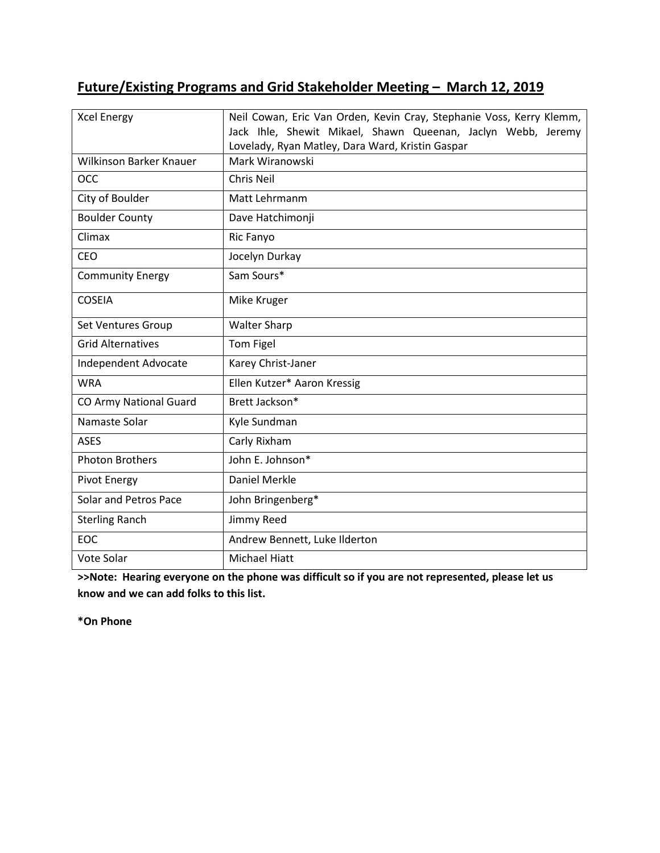# **Future/Existing Programs and Grid Stakeholder Meeting – March 12, 2019**

| <b>Xcel Energy</b>       | Neil Cowan, Eric Van Orden, Kevin Cray, Stephanie Voss, Kerry Klemm,<br>Jack Ihle, Shewit Mikael, Shawn Queenan, Jaclyn Webb, Jeremy<br>Lovelady, Ryan Matley, Dara Ward, Kristin Gaspar |
|--------------------------|------------------------------------------------------------------------------------------------------------------------------------------------------------------------------------------|
| Wilkinson Barker Knauer  | Mark Wiranowski                                                                                                                                                                          |
| <b>OCC</b>               | <b>Chris Neil</b>                                                                                                                                                                        |
| City of Boulder          | Matt Lehrmanm                                                                                                                                                                            |
| <b>Boulder County</b>    | Dave Hatchimonji                                                                                                                                                                         |
| Climax                   | Ric Fanyo                                                                                                                                                                                |
| CEO                      | Jocelyn Durkay                                                                                                                                                                           |
| <b>Community Energy</b>  | Sam Sours*                                                                                                                                                                               |
| <b>COSEIA</b>            | Mike Kruger                                                                                                                                                                              |
| Set Ventures Group       | <b>Walter Sharp</b>                                                                                                                                                                      |
| <b>Grid Alternatives</b> | Tom Figel                                                                                                                                                                                |
| Independent Advocate     | Karey Christ-Janer                                                                                                                                                                       |
| <b>WRA</b>               | Ellen Kutzer* Aaron Kressig                                                                                                                                                              |
| CO Army National Guard   | Brett Jackson*                                                                                                                                                                           |
| Namaste Solar            | Kyle Sundman                                                                                                                                                                             |
| <b>ASES</b>              | Carly Rixham                                                                                                                                                                             |
| <b>Photon Brothers</b>   | John E. Johnson*                                                                                                                                                                         |
| <b>Pivot Energy</b>      | Daniel Merkle                                                                                                                                                                            |
| Solar and Petros Pace    | John Bringenberg*                                                                                                                                                                        |
| <b>Sterling Ranch</b>    | Jimmy Reed                                                                                                                                                                               |
| EOC                      | Andrew Bennett, Luke Ilderton                                                                                                                                                            |
| Vote Solar               | <b>Michael Hiatt</b>                                                                                                                                                                     |

**>>Note: Hearing everyone on the phone was difficult so if you are not represented, please let us know and we can add folks to this list.** 

**\*On Phone**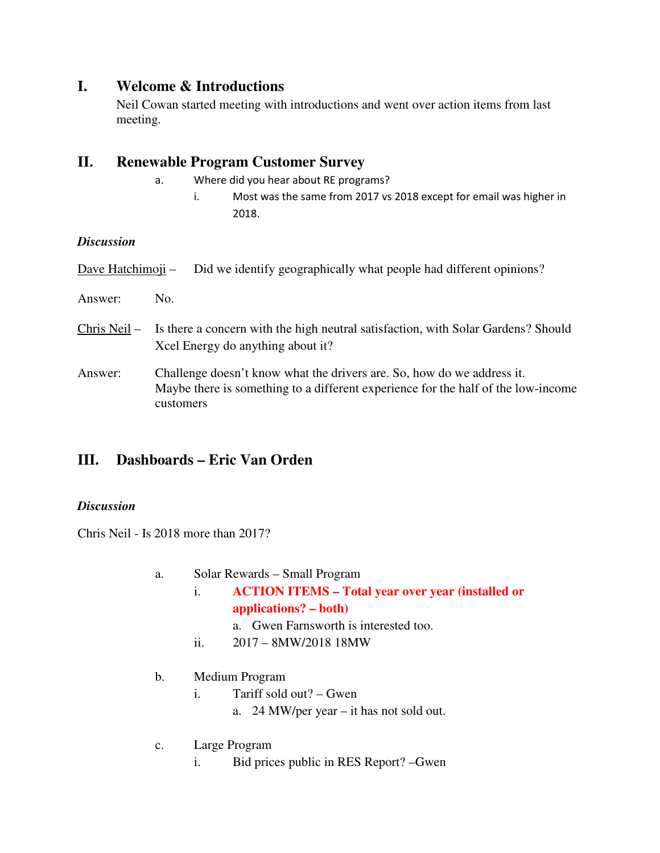## **I. Welcome & Introductions**

Neil Cowan started meeting with introductions and went over action items from last meeting.

## **II. Renewable Program Customer Survey**

- a. Where did you hear about RE programs?
	- i. Most was the same from 2017 vs 2018 except for email was higher in 2018.

### *Discussion*

| Dave Hatchimoji – | Did we identify geographically what people had different opinions?                                                                                                       |
|-------------------|--------------------------------------------------------------------------------------------------------------------------------------------------------------------------|
| Answer:           | No.                                                                                                                                                                      |
| Chris Neil –      | Is there a concern with the high neutral satisfaction, with Solar Gardens? Should<br>Xcel Energy do anything about it?                                                   |
| Answer:           | Challenge doesn't know what the drivers are. So, how do we address it.<br>Maybe there is something to a different experience for the half of the low-income<br>customers |

## **III. Dashboards – Eric Van Orden**

### *Discussion*

Chris Neil - Is 2018 more than 2017?

- a. Solar Rewards Small Program
	- i. **ACTION ITEMS Total year over year (installed or applications? – both)** 
		- a. Gwen Farnsworth is interested too.
	- ii. 2017 8MW/2018 18MW

### b. Medium Program

- i. Tariff sold out? Gwen a. 24 MW/per year – it has not sold out.
- 
- c. Large Program
	- i. Bid prices public in RES Report? –Gwen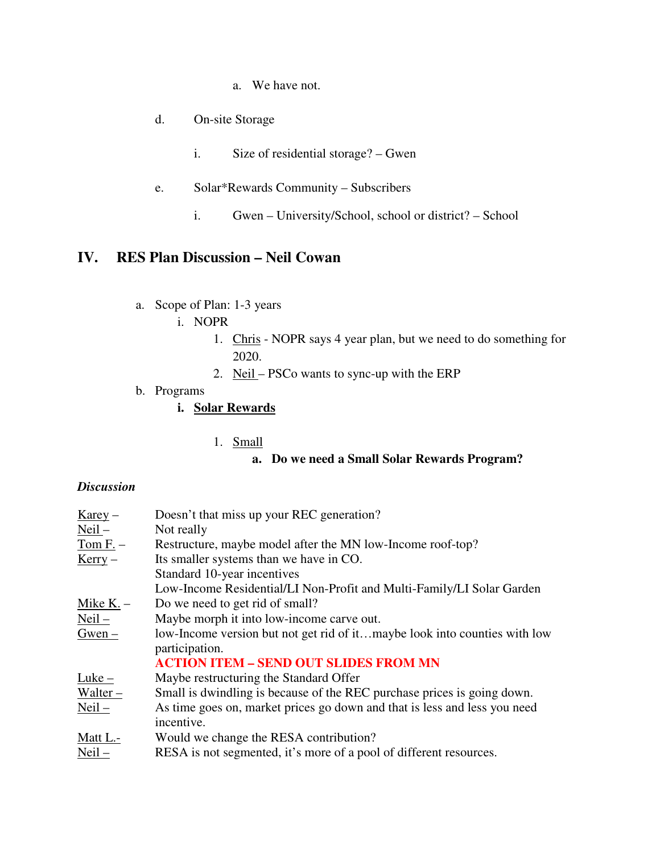- a. We have not.
- d. On-site Storage
	- i. Size of residential storage? Gwen
- e. Solar\*Rewards Community Subscribers
	- i. Gwen University/School, school or district? School

# **IV. RES Plan Discussion – Neil Cowan**

- a. Scope of Plan: 1-3 years
	- i. NOPR
		- 1. Chris NOPR says 4 year plan, but we need to do something for 2020.
		- 2. Neil PSCo wants to sync-up with the ERP
- b. Programs

### **i. Solar Rewards**

1. Small

### **a. Do we need a Small Solar Rewards Program?**

#### *Discussion*

| $\frac{\text{Karey}}{}$ | Doesn't that miss up your REC generation?                                                   |
|-------------------------|---------------------------------------------------------------------------------------------|
| $Neil -$                | Not really                                                                                  |
| $Tom F.$ –              | Restructure, maybe model after the MN low-Income roof-top?                                  |
| $Kerry -$               | Its smaller systems than we have in CO.                                                     |
|                         | Standard 10-year incentives                                                                 |
|                         | Low-Income Residential/LI Non-Profit and Multi-Family/LI Solar Garden                       |
| Mike $K -$              | Do we need to get rid of small?                                                             |
| $Neil -$                | Maybe morph it into low-income carve out.                                                   |
| $Gwen -$                | low-Income version but not get rid of itmaybe look into counties with low<br>participation. |
|                         | <b>ACTION ITEM - SEND OUT SLIDES FROM MN</b>                                                |
| $Luke -$                | Maybe restructuring the Standard Offer                                                      |
| $Walter -$              | Small is dwindling is because of the REC purchase prices is going down.                     |
| $Neil$ –                | As time goes on, market prices go down and that is less and less you need                   |
|                         | incentive.                                                                                  |
| Matt L.-                | Would we change the RESA contribution?                                                      |
| $Neil -$                | RESA is not segmented, it's more of a pool of different resources.                          |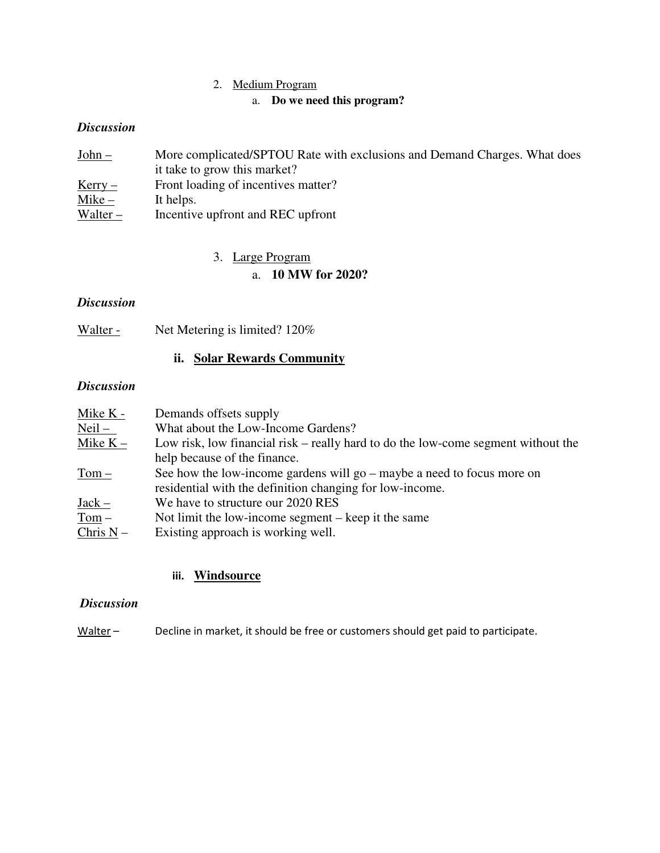### 2. Medium Program

#### a. **Do we need this program?**

#### *Discussion*

| $John -$   | More complicated/SPTOU Rate with exclusions and Demand Charges. What does |
|------------|---------------------------------------------------------------------------|
|            | it take to grow this market?                                              |
| $Kerry -$  | Front loading of incentives matter?                                       |
| Mike –     | It helps.                                                                 |
| $Walter -$ | Incentive upfront and REC upfront                                         |

## 3. Large Program

### a. **10 MW for 2020?**

### *Discussion*

| Walter - | Net Metering is limited? 120% |
|----------|-------------------------------|
|          |                               |

### **ii. Solar Rewards Community**

#### *Discussion*

| Mike K -    | Demands offsets supply                                                            |
|-------------|-----------------------------------------------------------------------------------|
| $Neil -$    | What about the Low-Income Gardens?                                                |
| Mike $K -$  | Low risk, low financial risk – really hard to do the low-come segment without the |
|             | help because of the finance.                                                      |
| $Tom -$     | See how the low-income gardens will go $-$ maybe a need to focus more on          |
|             | residential with the definition changing for low-income.                          |
| $Jack -$    | We have to structure our 2020 RES                                                 |
| $Tom -$     | Not limit the low-income segment – keep it the same                               |
| Chris $N -$ | Existing approach is working well.                                                |

### **iii. Windsource**

#### *Discussion*

Walter – Decline in market, it should be free or customers should get paid to participate.